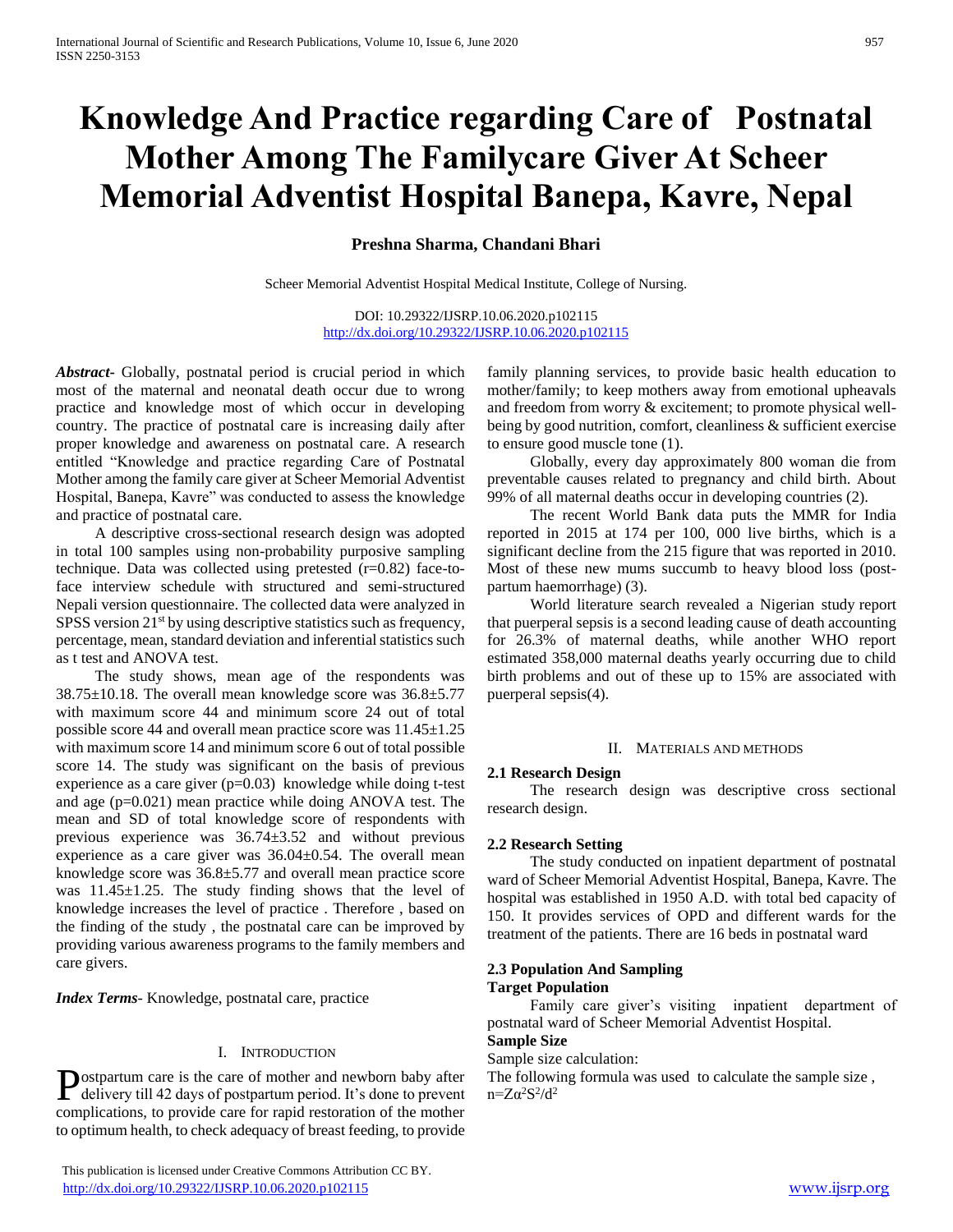# **Knowledge And Practice regarding Care of Postnatal Mother Among The Familycare Giver At Scheer Memorial Adventist Hospital Banepa, Kavre, Nepal**

# **Preshna Sharma, Chandani Bhari**

Scheer Memorial Adventist Hospital Medical Institute, College of Nursing.

DOI: 10.29322/IJSRP.10.06.2020.p102115 <http://dx.doi.org/10.29322/IJSRP.10.06.2020.p102115>

*Abstract***-** Globally, postnatal period is crucial period in which most of the maternal and neonatal death occur due to wrong practice and knowledge most of which occur in developing country. The practice of postnatal care is increasing daily after proper knowledge and awareness on postnatal care. A research entitled "Knowledge and practice regarding Care of Postnatal Mother among the family care giver at Scheer Memorial Adventist Hospital, Banepa, Kavre" was conducted to assess the knowledge and practice of postnatal care.

 A descriptive cross-sectional research design was adopted in total 100 samples using non-probability purposive sampling technique. Data was collected using pretested (r=0.82) face-toface interview schedule with structured and semi-structured Nepali version questionnaire. The collected data were analyzed in SPSS version 21<sup>st</sup> by using descriptive statistics such as frequency, percentage, mean, standard deviation and inferential statistics such as t test and ANOVA test.

 The study shows, mean age of the respondents was 38.75±10.18. The overall mean knowledge score was 36.8±5.77 with maximum score 44 and minimum score 24 out of total possible score 44 and overall mean practice score was 11.45±1.25 with maximum score 14 and minimum score 6 out of total possible score 14. The study was significant on the basis of previous experience as a care giver  $(p=0.03)$  knowledge while doing t-test and age (p=0.021) mean practice while doing ANOVA test. The mean and SD of total knowledge score of respondents with previous experience was 36.74±3.52 and without previous experience as a care giver was 36.04±0.54. The overall mean knowledge score was 36.8±5.77 and overall mean practice score was 11.45 $\pm$ 1.25. The study finding shows that the level of knowledge increases the level of practice . Therefore , based on the finding of the study , the postnatal care can be improved by providing various awareness programs to the family members and care givers.

*Index Terms*- Knowledge, postnatal care, practice

#### I. INTRODUCTION

ostpartum care is the care of mother and newborn baby after **D**ostpartum care is the care of mother and newborn baby after The follows delivery till 42 days of postpartum period. It's done to prevent  $n=Z\alpha^2S^2/d^2$ complications, to provide care for rapid restoration of the mother to optimum health, to check adequacy of breast feeding, to provide

 This publication is licensed under Creative Commons Attribution CC BY. <http://dx.doi.org/10.29322/IJSRP.10.06.2020.p102115> [www.ijsrp.org](http://ijsrp.org/)

family planning services, to provide basic health education to mother/family; to keep mothers away from emotional upheavals and freedom from worry & excitement; to promote physical wellbeing by good nutrition, comfort, cleanliness & sufficient exercise to ensure good muscle tone (1).

 Globally, every day approximately 800 woman die from preventable causes related to pregnancy and child birth. About 99% of all maternal deaths occur in developing countries (2).

 The recent World Bank data puts the MMR for India reported in 2015 at 174 per 100, 000 live births, which is a significant decline from the 215 figure that was reported in 2010. Most of these new mums succumb to heavy blood loss (postpartum haemorrhage) (3).

 World literature search revealed a Nigerian study report that puerperal sepsis is a second leading cause of death accounting for 26.3% of maternal deaths, while another WHO report estimated 358,000 maternal deaths yearly occurring due to child birth problems and out of these up to 15% are associated with puerperal sepsis(4).

#### II. MATERIALS AND METHODS

#### **2.1 Research Design**

 The research design was descriptive cross sectional research design.

#### **2.2 Research Setting**

 The study conducted on inpatient department of postnatal ward of Scheer Memorial Adventist Hospital, Banepa, Kavre. The hospital was established in 1950 A.D. with total bed capacity of 150. It provides services of OPD and different wards for the treatment of the patients. There are 16 beds in postnatal ward

#### **2.3 Population And Sampling Target Population**

 Family care giver's visiting inpatient department of postnatal ward of Scheer Memorial Adventist Hospital.

# **Sample Size**

Sample size calculation:

The following formula was used to calculate the sample size ,  $n = Z\alpha^2S^2$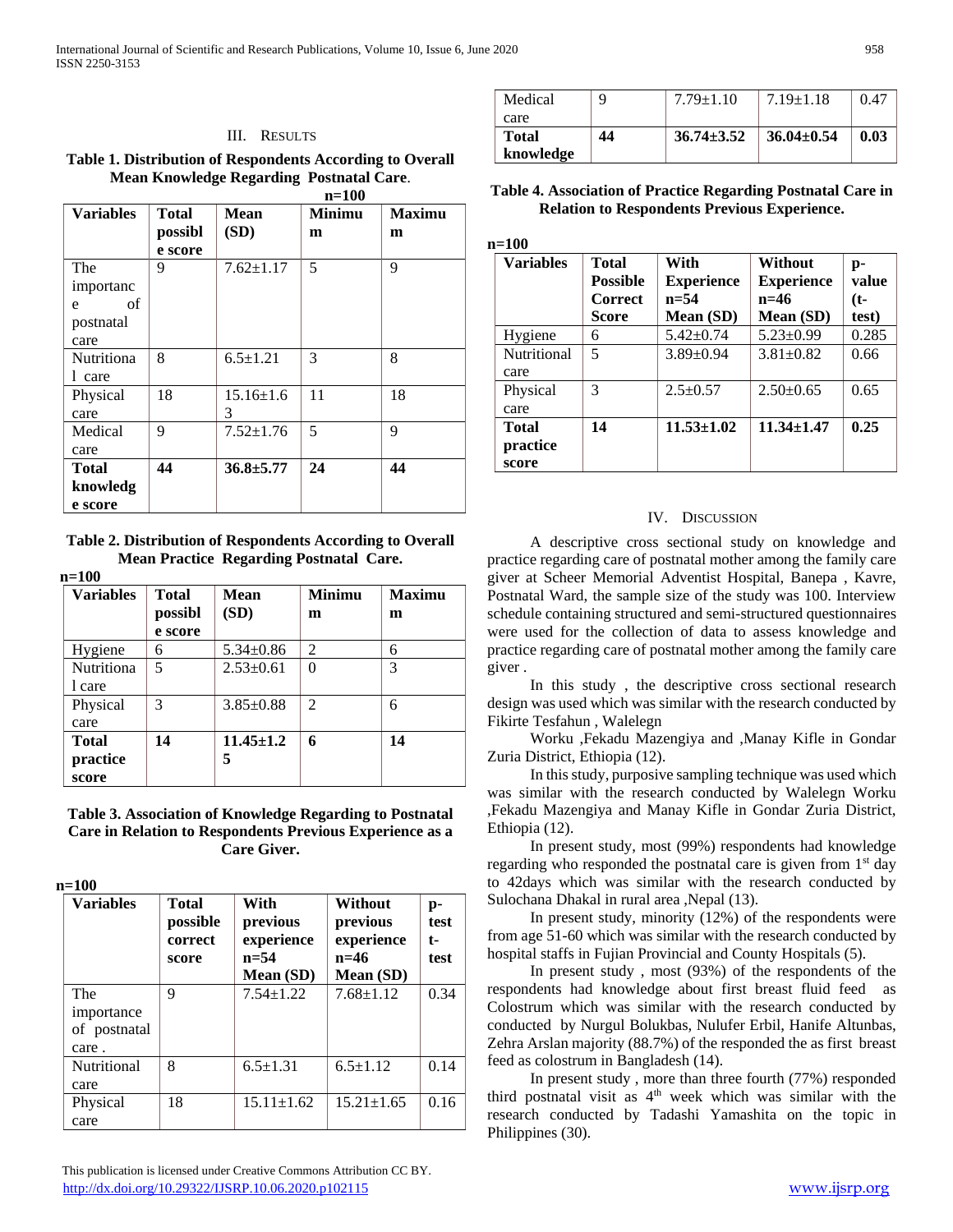#### III. RESULTS

**Table 1. Distribution of Respondents According to Overall Mean Knowledge Regarding Postnatal Care**.

|                  |         | $n=100$         |               |               |
|------------------|---------|-----------------|---------------|---------------|
| <b>Variables</b> | Total   | Mean            | <b>Minimu</b> | <b>Maximu</b> |
|                  | possibl | (SD)            | m             | m             |
|                  | e score |                 |               |               |
| The              | 9       | $7.62 \pm 1.17$ | 5             | 9             |
| importanc        |         |                 |               |               |
| of<br>e          |         |                 |               |               |
| postnatal        |         |                 |               |               |
| care             |         |                 |               |               |
| Nutritiona       | 8       | $6.5 \pm 1.21$  | 3             | 8             |
| 1 care           |         |                 |               |               |
| Physical         | 18      | $15.16 \pm 1.6$ | 11            | 18            |
| care             |         | 3               |               |               |
| Medical          | 9       | $7.52 \pm 1.76$ | 5             | 9             |
| care             |         |                 |               |               |
| Total            | 44      | $36.8 \pm 5.77$ | 24            | 44            |
| knowledg         |         |                 |               |               |
| e score          |         |                 |               |               |

**Table 2. Distribution of Respondents According to Overall Mean Practice Regarding Postnatal Care.**

| <b>Variables</b>                  | Total<br>possibl<br>e score | Mean<br>(SD)         | <b>Minimu</b><br>m | <b>Maximu</b><br>m |
|-----------------------------------|-----------------------------|----------------------|--------------------|--------------------|
| Hygiene                           | 6                           | $5.34 \pm 0.86$      | 2                  | 6                  |
| <b>Nutritiona</b><br>l care       | 5                           | $2.53 \pm 0.61$      | $\theta$           | 3                  |
| Physical<br>care                  | 3                           | $3.85 \pm 0.88$      | $\overline{2}$     | 6                  |
| <b>Total</b><br>practice<br>score | 14                          | $11.45 \pm 1.2$<br>5 | 6                  | 14                 |

**Table 3. Association of Knowledge Regarding to Postnatal Care in Relation to Respondents Previous Experience as a Care Giver.**

**n=100**

| <b>Variables</b>                           | Total<br>possible<br>correct<br>score | With<br>previous<br>experience<br>$n = 54$<br>Mean (SD) | Without<br>previous<br>experience<br>$n=46$<br>Mean (SD) | p-<br>test<br>t-<br>test |
|--------------------------------------------|---------------------------------------|---------------------------------------------------------|----------------------------------------------------------|--------------------------|
| The<br>importance<br>of postnatal<br>care. | 9                                     | $7.54 \pm 1.22$                                         | $7.68 \pm 1.12$                                          | 0.34                     |
| Nutritional<br>care                        | 8                                     | $6.5 \pm 1.31$                                          | $6.5 \pm 1.12$                                           | 0.14                     |
| Physical<br>care                           | 18                                    | $15.11 \pm 1.62$                                        | $15.21 \pm 1.65$                                         | 0.16                     |

| Medical      | Q  | $7.79 \pm 1.10$  | $7.19 \pm 1.18$  | 0.47 |
|--------------|----|------------------|------------------|------|
| care         |    |                  |                  |      |
| <b>Total</b> | 44 | $36.74 \pm 3.52$ | $36.04 \pm 0.54$ | 0.03 |
| knowledge    |    |                  |                  |      |

### **Table 4. Association of Practice Regarding Postnatal Care in Relation to Respondents Previous Experience.**

| n=100                             |                                                     |                                                    |                                                            |                             |
|-----------------------------------|-----------------------------------------------------|----------------------------------------------------|------------------------------------------------------------|-----------------------------|
| <b>Variables</b>                  | Total<br><b>Possible</b><br><b>Correct</b><br>Score | With<br><b>Experience</b><br>$n = 54$<br>Mean (SD) | <b>Without</b><br><b>Experience</b><br>$n=46$<br>Mean (SD) | p-<br>value<br>(t-<br>test) |
| Hygiene                           | 6                                                   | $5.42 \pm 0.74$                                    | $5.23 \pm 0.99$                                            | 0.285                       |
| <b>Nutritional</b><br>care        | 5                                                   | $3.89 \pm 0.94$                                    | $3.81 \pm 0.82$                                            | 0.66                        |
| Physical<br>care                  | 3                                                   | $2.5 \pm 0.57$                                     | $2.50+0.65$                                                | 0.65                        |
| <b>Total</b><br>practice<br>score | 14                                                  | $11.53 \pm 1.02$                                   | $11.34 \pm 1.47$                                           | 0.25                        |

# IV. DISCUSSION

 A descriptive cross sectional study on knowledge and practice regarding care of postnatal mother among the family care giver at Scheer Memorial Adventist Hospital, Banepa , Kavre, Postnatal Ward, the sample size of the study was 100. Interview schedule containing structured and semi-structured questionnaires were used for the collection of data to assess knowledge and practice regarding care of postnatal mother among the family care giver .

 In this study , the descriptive cross sectional research design was used which was similar with the research conducted by Fikirte Tesfahun , Walelegn

 Worku ,Fekadu Mazengiya and ,Manay Kifle in Gondar Zuria District, Ethiopia (12).

 In this study, purposive sampling technique was used which was similar with the research conducted by Walelegn Worku ,Fekadu Mazengiya and Manay Kifle in Gondar Zuria District, Ethiopia (12).

 In present study, most (99%) respondents had knowledge regarding who responded the postnatal care is given from 1<sup>st</sup> day to 42days which was similar with the research conducted by Sulochana Dhakal in rural area ,Nepal (13).

 In present study, minority (12%) of the respondents were from age 51-60 which was similar with the research conducted by hospital staffs in Fujian Provincial and County Hospitals (5).

 In present study , most (93%) of the respondents of the respondents had knowledge about first breast fluid feed as Colostrum which was similar with the research conducted by conducted by Nurgul Bolukbas, Nulufer Erbil, Hanife Altunbas, Zehra Arslan majority (88.7%) of the responded the as first breast feed as colostrum in Bangladesh (14).

 In present study , more than three fourth (77%) responded third postnatal visit as  $4<sup>th</sup>$  week which was similar with the research conducted by Tadashi Yamashita on the topic in Philippines (30).